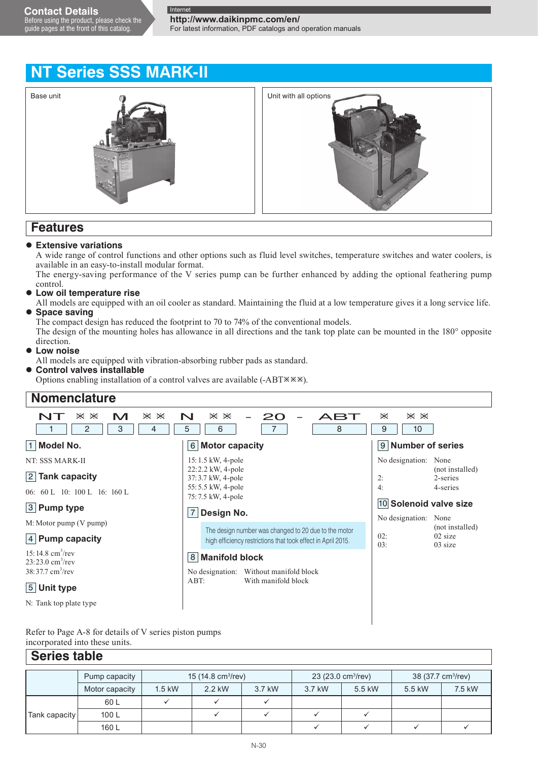# **NT Series SSS MARK-II**



## **Features**

### **Extensive variations**

A wide range of control functions and other options such as fluid level switches, temperature switches and water coolers, is available in an easy-to-install modular format.

The energy-saving performance of the V series pump can be further enhanced by adding the optional feathering pump control.

### **Low oil temperature rise**

All models are equipped with an oil cooler as standard. Maintaining the fluid at a low temperature gives it a long service life.  **Space saving**

The compact design has reduced the footprint to 70 to 74% of the conventional models.

The design of the mounting holes has allowance in all directions and the tank top plate can be mounted in the 180° opposite direction.

 **Low noise**

All models are equipped with vibration-absorbing rubber pads as standard.

### **Control valves installable**

Options enabling installation of a control valves are available (-ABT<sup>\*\*</sup>).



Refer to Page A-8 for details of V series piston pumps incorporated into these units.

|               | <b>Series table</b> |          |                                |        |                                |        |                                |        |  |  |  |  |  |  |
|---------------|---------------------|----------|--------------------------------|--------|--------------------------------|--------|--------------------------------|--------|--|--|--|--|--|--|
|               | Pump capacity       |          | 15 (14.8 cm <sup>3</sup> /rev) |        | 23 (23.0 cm <sup>3</sup> /rev) |        | 38 (37.7 cm <sup>3</sup> /rev) |        |  |  |  |  |  |  |
|               | Motor capacity      | $1.5$ kW | 2.2 kW                         | 3.7 kW | 3.7 kW                         | 5.5 kW | 5.5 kW                         | 7.5 kW |  |  |  |  |  |  |
|               | 60 L                |          |                                |        |                                |        |                                |        |  |  |  |  |  |  |
| Tank capacity | 100L                |          |                                |        |                                |        |                                |        |  |  |  |  |  |  |
|               | 160L                |          |                                |        |                                |        |                                |        |  |  |  |  |  |  |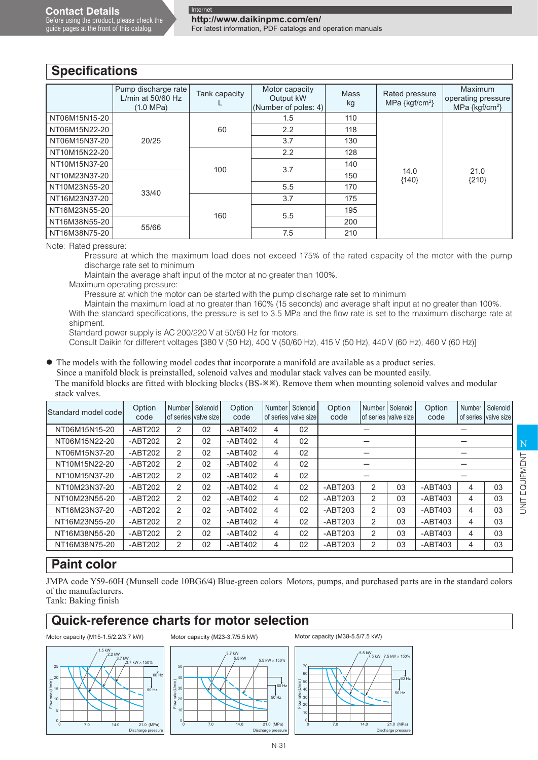$\sqrt{2}$ 

|               | Pump discharge rate<br>L/min at $50/60$ Hz<br>$(1.0 \text{ MPa})$ | Tank capacity | Motor capacity<br>Output kW<br>(Number of poles: 4) | Mass<br>kg | Rated pressure<br>MPa $\{kgf/cm^2\}$ | <b>Maximum</b><br>operating pressure<br>MPa {kgf/cm <sup>2</sup> } |  |  |
|---------------|-------------------------------------------------------------------|---------------|-----------------------------------------------------|------------|--------------------------------------|--------------------------------------------------------------------|--|--|
| NT06M15N15-20 |                                                                   |               | 1.5                                                 | 110        |                                      |                                                                    |  |  |
| NT06M15N22-20 |                                                                   | 60            | 2.2                                                 | 118        |                                      |                                                                    |  |  |
| NT06M15N37-20 | 20/25                                                             |               | 3.7                                                 | 130        |                                      |                                                                    |  |  |
| NT10M15N22-20 |                                                                   |               | 2.2                                                 | 128        |                                      |                                                                    |  |  |
| NT10M15N37-20 |                                                                   | 100           | 3.7                                                 | 140        |                                      |                                                                    |  |  |
| NT10M23N37-20 |                                                                   |               |                                                     | 150        | 14.0<br>${140}$                      | 21.0<br>${210}$                                                    |  |  |
| NT10M23N55-20 | 33/40                                                             |               | 5.5                                                 | 170        |                                      |                                                                    |  |  |
| NT16M23N37-20 |                                                                   |               | 3.7                                                 | 175        |                                      |                                                                    |  |  |
| NT16M23N55-20 |                                                                   | 160           | 5.5                                                 | 195        |                                      |                                                                    |  |  |
| NT16M38N55-20 | 55/66                                                             |               |                                                     | 200        |                                      |                                                                    |  |  |
| NT16M38N75-20 |                                                                   |               | 7.5                                                 | 210        |                                      |                                                                    |  |  |

Note: Rated pressure:

Pressure at which the maximum load does not exceed 175% of the rated capacity of the motor with the pump discharge rate set to minimum

Maintain the average shaft input of the motor at no greater than 100%.

Maximum operating pressure:

Pressure at which the motor can be started with the pump discharge rate set to minimum

Maintain the maximum load at no greater than 160% (15 seconds) and average shaft input at no greater than 100%. With the standard specifications, the pressure is set to 3.5 MPa and the flow rate is set to the maximum discharge rate at shipment.

Standard power supply is AC 200/220 V at 50/60 Hz for motors.

Consult Daikin for different voltages [380 V (50 Hz), 400 V (50/60 Hz), 415 V (50 Hz), 440 V (60 Hz), 460 V (60 Hz)]

The models with the following model codes that incorporate a manifold are available as a product series.

Since a manifold block is preinstalled, solenoid valves and modular stack valves can be mounted easily. The manifold blocks are fitted with blocking blocks (BS- $\gg$ ). Remove them when mounting solenoid valves and modular stack valves.

| IStandard model codel | Option<br>code | <b>Number</b>  | Solenoid<br>of series Ivalve sizel | Option<br>code | Number | Solenoid<br>of series valve size | Option<br>code | Number         | Solenoid<br>of series valve size | Option<br>code | Number         | Solenoid<br>of series valve size |  |
|-----------------------|----------------|----------------|------------------------------------|----------------|--------|----------------------------------|----------------|----------------|----------------------------------|----------------|----------------|----------------------------------|--|
| NT06M15N15-20         | $-ABT202$      | $\mathcal{P}$  | 02                                 | $-ABT402$      | 4      | 02                               |                |                |                                  |                |                |                                  |  |
| NT06M15N22-20         | $-ABT202$      | $\overline{2}$ | 02                                 | $-ABT402$      | 4      | 02                               |                |                |                                  |                |                |                                  |  |
| NT06M15N37-20         | $-ABT202$      | 2              | 02                                 | $-ABT402$      | 4      | 02                               |                |                |                                  |                |                |                                  |  |
| NT10M15N22-20         | $-ABT202$      | $\overline{2}$ | 02                                 | $-ABT402$      | 4      | 02                               |                |                |                                  |                |                |                                  |  |
| NT10M15N37-20         | $-ABT202$      | 2              | 02                                 | $-ABT402$      | 4      | 02                               |                |                |                                  |                |                |                                  |  |
| NT10M23N37-20         | $-ABT202$      | $\mathcal{P}$  | 02                                 | $-ABT402$      | 4      | 02                               | $-ABT203$      | 2              | 03                               | $-ABT403$      | $\overline{4}$ | 03                               |  |
| NT10M23N55-20         | $-ABT202$      | $\mathcal{P}$  | 02                                 | $-ABT402$      | 4      | 02                               | $-ABT203$      | 2              | 03                               | $-ABT403$      | 4              | 03                               |  |
| NT16M23N37-20         | $-ABT202$      | $\overline{2}$ | 02                                 | $-ABT402$      | 4      | 02                               | $-ABT203$      | 2              | 03                               | $-ABT403$      | 4              | 03                               |  |
| NT16M23N55-20         | $-ABT202$      | 2              | 02                                 | $-ABT402$      | 4      | 02                               | $-ABT203$      | $\overline{2}$ | 03                               | $-ABT403$      | 4              | 03                               |  |
| NT16M38N55-20         | $-ABT202$      | 2              | 02                                 | $-ABT402$      | 4      | 02                               | $-ABT203$      | 2              | 03                               | $-ABT403$      | 4              | 03                               |  |
| NT16M38N75-20         | $-ABT202$      | 2              | 02                                 | $-ABT402$      | 4      | 02                               | $-ABT203$      | 2              | 03                               | $-ABT403$      | 4              | 03                               |  |

# **Paint color**

JMPA code Y59-60H (Munsell code 10BG6/4) Blue-green colors Motors, pumps, and purchased parts are in the standard colors of the manufacturers. Tank: Baking finish

# **Quick-reference charts for motor selection**

Motor capacity (M15-1.5/2.2/3.7 kW)





Motor capacity (M38-5.5/7.5 kW)

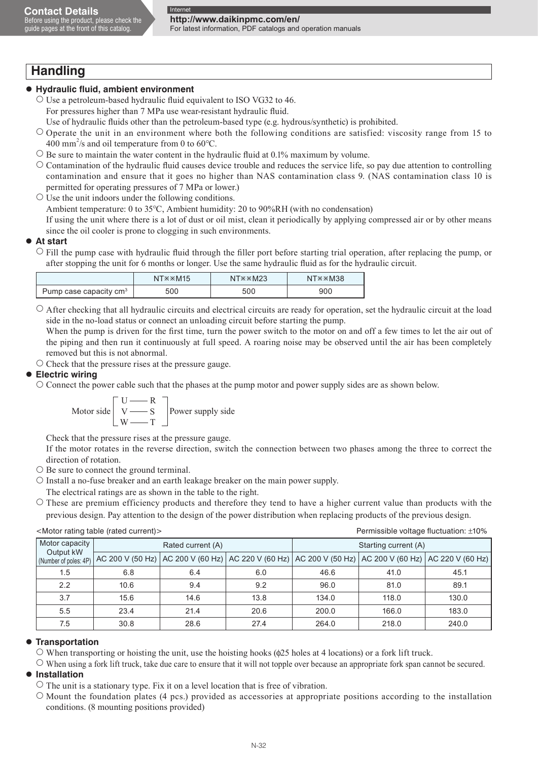guide pages at the front of this catalog.

For latest information, PDF catalogs and operation manuals

# **Handling**

### **Hydraulic fluid, ambient environment**

- $\circ$  Use a petroleum-based hydraulic fluid equivalent to ISO VG32 to 46. For pressures higher than 7 MPa use wear-resistant hydraulic fluid.
	- Use of hydraulic fluids other than the petroleum-based type (e.g. hydrous/synthetic) is prohibited.
- Operate the unit in an environment where both the following conditions are satisfied: viscosity range from 15 to 400 mm<sup>2</sup>/s and oil temperature from 0 to 60 $^{\circ}$ C.
- $\circ$  Be sure to maintain the water content in the hydraulic fluid at 0.1% maximum by volume.
- $\circ$  Contamination of the hydraulic fluid causes device trouble and reduces the service life, so pay due attention to controlling contamination and ensure that it goes no higher than NAS contamination class 9. (NAS contamination class 10 is permitted for operating pressures of 7 MPa or lower.)
- $\circ$  Use the unit indoors under the following conditions.

Ambient temperature: 0 to 35°C, Ambient humidity: 20 to 90%RH (with no condensation)

 If using the unit where there is a lot of dust or oil mist, clean it periodically by applying compressed air or by other means since the oil cooler is prone to clogging in such environments.

### **At start**

 Fill the pump case with hydraulic fluid through the filler port before starting trial operation, after replacing the pump, or after stopping the unit for 6 months or longer. Use the same hydraulic fluid as for the hydraulic circuit.

|                                    | $NT \times \times M15$ | $NT \times \times M23$ | $N T \times \times M38$ |
|------------------------------------|------------------------|------------------------|-------------------------|
| Pump case capacity cm <sup>3</sup> | 500                    | 500                    | 900                     |

 $\circ$  After checking that all hydraulic circuits and electrical circuits are ready for operation, set the hydraulic circuit at the load side in the no-load status or connect an unloading circuit before starting the pump.

When the pump is driven for the first time, turn the power switch to the motor on and off a few times to let the air out of the piping and then run it continuously at full speed. A roaring noise may be observed until the air has been completely removed but this is not abnormal.

 $\circ$  Check that the pressure rises at the pressure gauge.

### **Electric wiring**

 Connect the power cable such that the phases at the pump motor and power supply sides are as shown below.

$$
\text{Motor side} \begin{bmatrix} U & \text{---} & \text{---} & \text{---} & \text{---} & \text{---} & \text{---} & \text{---} & \text{---} & \text{---} & \text{---} & \text{---} & \text{---} & \text{---} & \text{---} & \text{---} & \text{---} & \text{---} & \text{---} & \text{---} & \text{---} & \text{---} & \text{---} & \text{---} & \text{---} & \text{---} & \text{---} & \text{---} & \text{---} & \text{---} & \text{---} & \text{---} & \text{---} & \text{---} & \text{---} & \text{---} & \text{---} & \text{---} & \text{---} & \text{---} & \text{---} & \text{---} & \text{---} & \text{---} & \text{---} & \text{---} & \text{---} & \text{---} & \text{---} & \text{---} & \text{---} & \text{---} & \text{---} & \text{---} & \text{---} & \text{---} & \text{---} & \text{---} & \text{---} & \text{---} & \text{---} & \text{---} & \text{---} & \text{---} & \text{---} & \text{---} & \text{---} & \text{---} & \text{---} & \text{---} & \text{---} & \text{---} & \text{---} & \text{---} & \text{---} & \text{---} & \text{---} & \text{---} & \text{---} & \text{---} & \text{---} & \text{---} & \text{---} & \text{---} & \text{---} & \text{---} & \text{---} & \text{---} & \text{---} & \text{---} & \text{---} & \text{---} & \text{---} & \text{---} &
$$

Check that the pressure rises at the pressure gauge.

 If the motor rotates in the reverse direction, switch the connection between two phases among the three to correct the direction of rotation.

- $\circ$  Be sure to connect the ground terminal.
- $\circ$  Install a no-fuse breaker and an earth leakage breaker on the main power supply.
- The electrical ratings are as shown in the table to the right.

 $\circ$  These are premium efficiency products and therefore they tend to have a higher current value than products with the previous design. Pay attention to the design of the power distribution when replacing products of the previous design.

| <wotor (rated="" current)="" rating="" table=""><br/>Permissible voltage includion: ±10%</wotor> |      |                                                                                                       |      |                      |       |       |  |  |  |  |  |
|--------------------------------------------------------------------------------------------------|------|-------------------------------------------------------------------------------------------------------|------|----------------------|-------|-------|--|--|--|--|--|
| Motor capacity<br>Output kW                                                                      |      | Rated current (A)                                                                                     |      | Starting current (A) |       |       |  |  |  |  |  |
| (Number of poles: 4P)                                                                            |      | AC 200 V (50 Hz) AC 200 V (60 Hz) AC 220 V (60 Hz) AC 200 V (50 Hz) AC 200 V (60 Hz) AC 220 V (60 Hz) |      |                      |       |       |  |  |  |  |  |
| 1.5                                                                                              | 6.8  | 6.4                                                                                                   | 6.0  | 46.6                 | 41.0  | 45.1  |  |  |  |  |  |
| 2.2                                                                                              | 10.6 | 9.4                                                                                                   | 9.2  | 96.0                 | 81.0  | 89.1  |  |  |  |  |  |
| 3.7                                                                                              | 15.6 | 14.6                                                                                                  | 13.8 | 134.0                | 118.0 | 130.0 |  |  |  |  |  |
| 5.5                                                                                              | 23.4 | 21.4                                                                                                  | 20.6 | 200.0                | 166.0 | 183.0 |  |  |  |  |  |
| 7.5                                                                                              | 30.8 | 28.6                                                                                                  | 27.4 | 264.0                | 218.0 | 240.0 |  |  |  |  |  |

### <Motor rating table (rated current)> Permissible voltage fluctuation: ±10%

### **• Transportation**

 $\circ$  When transporting or hoisting the unit, use the hoisting hooks ( $\phi$ 25 holes at 4 locations) or a fork lift truck.

 $\circ$  When using a fork lift truck, take due care to ensure that it will not topple over because an appropriate fork span cannot be secured.

### **Installation**

- $\circ$  The unit is a stationary type. Fix it on a level location that is free of vibration.
- $\circ$  Mount the foundation plates (4 pcs.) provided as accessories at appropriate positions according to the installation conditions. (8 mounting positions provided)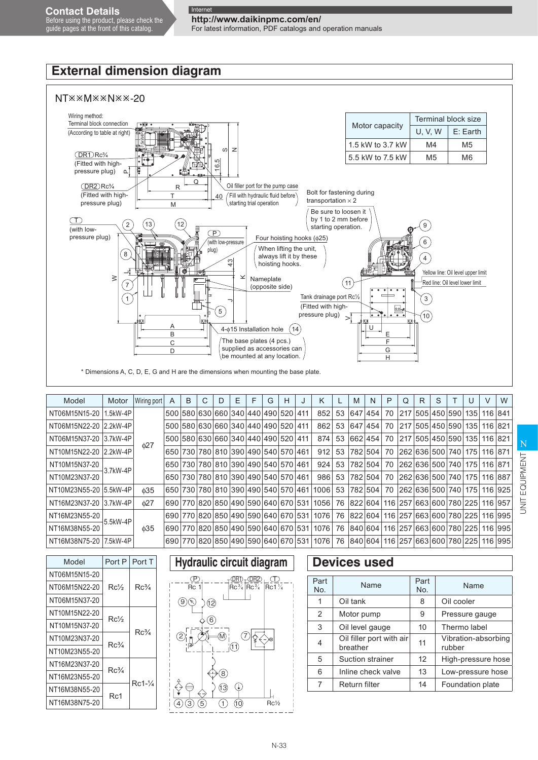#### Before using the product, please check the guide pages at the front of this catalog.

### **http://www.daikinpmc.com/en/** For latest information, PDF catalogs and operation manuals

# **External dimension diagram**



| Model                  | Motor    | Wiring port | A | B | C | D | E | F                                   | G | н | J | K    |     | M       | N       | P    | Q | R | S               |                                 | $\vee$  | W       |
|------------------------|----------|-------------|---|---|---|---|---|-------------------------------------|---|---|---|------|-----|---------|---------|------|---|---|-----------------|---------------------------------|---------|---------|
| NT06M15N15-20          | 1.5kW-4P |             |   |   |   |   |   | 500 580 630 660 340 440 490 520 411 |   |   |   | 852  | 53  |         | 647 454 | 70   |   |   | 217 505 450 590 | 135                             | 116 841 |         |
| NT06M15N22-20 2.2kW-4P |          |             |   |   |   |   |   | 500 580 630 660 340 440 490 520 411 |   |   |   | 862  | 53  |         | 647 454 | 70   |   |   |                 | 217 505 450 590 135             | 116 821 |         |
| NT06M15N37-20 3.7kW-4P |          |             |   |   |   |   |   | 500 580 630 660 340 440 490 520 411 |   |   |   | 874  | 53  | 662 454 |         | 70 l |   |   |                 | 217 505 450 590 135             | 116 821 |         |
| NT10M15N22-20 2.2kW-4P |          | 627         |   |   |   |   |   | 650 730 780 810 390 490 540 570 461 |   |   |   | 912  | 53  |         | 782 504 | 70   |   |   |                 | 262 636 500 740 175             | 116 871 |         |
| NT10M15N37-20          | 3.7kW-4P |             |   |   |   |   |   | 650 730 780 810 390 490 540 570 461 |   |   |   | 924  | 53  |         | 782 504 | 70   |   |   |                 | 262 636 500 740 175             | 116 871 |         |
| NT10M23N37-20          |          |             |   |   |   |   |   | 650 730 780 810 390 490 540 570 461 |   |   |   | 986  | 53  |         | 782 504 | 70   |   |   |                 | 262 636 500 740 175             |         | 116 887 |
| NT10M23N55-20 5.5kW-4P |          | $\phi$ 35   |   |   |   |   |   | 650 730 780 810 390 490 540 570 461 |   |   |   | 1006 | 53  |         | 782 504 | 70   |   |   |                 | 262 636 500 740 175             |         | 116 925 |
| NT16M23N37-20 3.7kW-4P |          | 027         |   |   |   |   |   | 690 770 820 850 490 590 640 670 531 |   |   |   | 1056 | 76  | 822 604 |         |      |   |   |                 | 116 257 663 600 780 225         |         | 116 957 |
| NT16M23N55-20          | 5.5kW-4P |             |   |   |   |   |   | 690 770 820 850 490 590 640 670 531 |   |   |   | 1076 | 76  |         |         |      |   |   |                 | 822 604 116 257 663 600 780 225 |         | 116 995 |
| NT16M38N55-20          |          | $\phi$ 35   |   |   |   |   |   | 690 770 820 850 490 590 640 670 531 |   |   |   | 1076 | 76  |         |         |      |   |   |                 | 840 604 116 257 663 600 780 225 |         | 116 995 |
| NT16M38N75-20 7.5kW-4P |          |             |   |   |   |   |   | 690 770 820 850 490 590 640 670 531 |   |   |   | 1076 | 76' |         |         |      |   |   |                 | 840 604 116 257 663 600 780 225 |         | 116 995 |

| Model         | Port P          | Port T            |
|---------------|-----------------|-------------------|
| NT06M15N15-20 |                 |                   |
| NT06M15N22-20 | $Rc\frac{1}{2}$ | $Rc\frac{3}{4}$   |
| NT06M15N37-20 |                 |                   |
| NT10M15N22-20 | Rc½             |                   |
| NT10M15N37-20 |                 | Rc¼               |
| NT10M23N37-20 | $Rc\frac{3}{4}$ |                   |
| NT10M23N55-20 |                 |                   |
| NT16M23N37-20 | $Rc\frac{3}{4}$ |                   |
| NT16M23N55-20 |                 | $Rc1-\frac{1}{4}$ |
| NT16M38N55-20 | Rc1             |                   |
| NT16M38N75-20 |                 |                   |
|               |                 |                   |

# **Hydraulic circuit diagram | Devices used**



| Part<br>No. | Name                                 | Part<br>No. | Name                          |
|-------------|--------------------------------------|-------------|-------------------------------|
| 1           | Oil tank                             | 8           | Oil cooler                    |
| 2           | Motor pump                           | 9           | Pressure gauge                |
| 3           | Oil level gauge                      | 10          | Thermo label                  |
| 4           | Oil filler port with air<br>breather | 11          | Vibration-absorbing<br>rubber |
| 5           | Suction strainer                     | 12          | High-pressure hose            |
| 6           | Inline check valve                   | 13          | Low-pressure hose             |
| 7           | Return filter                        | 14          | Foundation plate              |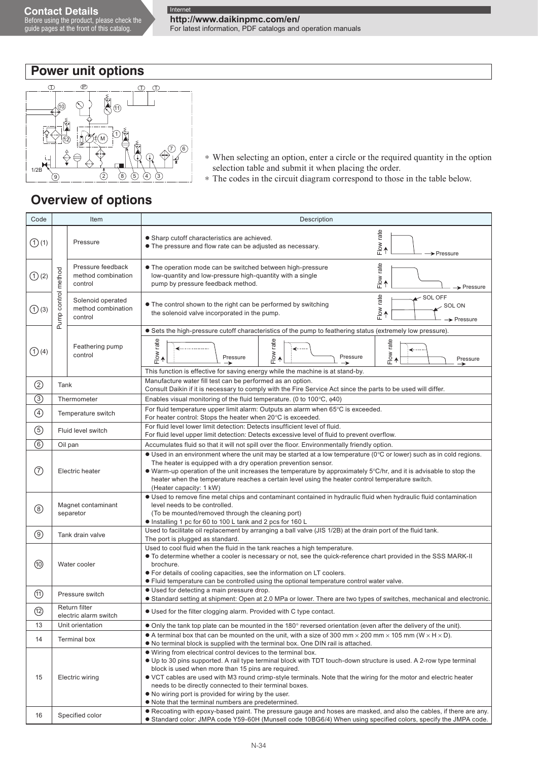**http://www.daikinpmc.com/en/**

For latest information, PDF catalogs and operation manuals

# **Power unit options**



- \* When selecting an option, enter a circle or the required quantity in the option selection table and submit it when placing the order.
- \* The codes in the circuit diagram correspond to those in the table below.

# **Overview of options**

| Code                                     | Item<br>Description                                                                                                                                                                                                                                                                                                                                                                                                                                                                                                                                         |                                                    |                                                                                                                                                                                                                                                                                                                                                                                                                                                              |  |  |  |  |  |  |
|------------------------------------------|-------------------------------------------------------------------------------------------------------------------------------------------------------------------------------------------------------------------------------------------------------------------------------------------------------------------------------------------------------------------------------------------------------------------------------------------------------------------------------------------------------------------------------------------------------------|----------------------------------------------------|--------------------------------------------------------------------------------------------------------------------------------------------------------------------------------------------------------------------------------------------------------------------------------------------------------------------------------------------------------------------------------------------------------------------------------------------------------------|--|--|--|--|--|--|
| $\bigodot$ (1)                           |                                                                                                                                                                                                                                                                                                                                                                                                                                                                                                                                                             | Pressure                                           | $Flow$ rate<br>• Sharp cutoff characteristics are achieved.<br>• The pressure and flow rate can be adjusted as necessary.<br>$\rightarrow$ Pressure                                                                                                                                                                                                                                                                                                          |  |  |  |  |  |  |
| $\bigodot$ (2)                           |                                                                                                                                                                                                                                                                                                                                                                                                                                                                                                                                                             | Pressure feedback<br>method combination<br>control | Flow rate<br>• The operation mode can be switched between high-pressure<br>low-quantity and low-pressure high-quantity with a single<br>pump by pressure feedback method.<br>$\rightarrow$ Pressure                                                                                                                                                                                                                                                          |  |  |  |  |  |  |
| $\bigodot$ (3)                           | Pump control method                                                                                                                                                                                                                                                                                                                                                                                                                                                                                                                                         | Solenoid operated<br>method combination<br>control | $Flow\ rate$<br>$\sim$ SOL OFF<br>• The control shown to the right can be performed by switching<br><b>SOL ON</b><br>the solenoid valve incorporated in the pump.<br>$\rightarrow$ Pressure                                                                                                                                                                                                                                                                  |  |  |  |  |  |  |
|                                          |                                                                                                                                                                                                                                                                                                                                                                                                                                                                                                                                                             |                                                    | • Sets the high-pressure cutoff characteristics of the pump to feathering status (extremely low pressure).                                                                                                                                                                                                                                                                                                                                                   |  |  |  |  |  |  |
| $\bigodot$ (4)                           |                                                                                                                                                                                                                                                                                                                                                                                                                                                                                                                                                             | Feathering pump<br>control                         | $Flow$ rate<br>Flow rate<br>$F$ low rate<br>_______________<br>↞<br>↞<br>Pressure<br>Pressure<br>Pressure<br>→<br>→<br>∽                                                                                                                                                                                                                                                                                                                                     |  |  |  |  |  |  |
|                                          |                                                                                                                                                                                                                                                                                                                                                                                                                                                                                                                                                             |                                                    | This function is effective for saving energy while the machine is at stand-by.                                                                                                                                                                                                                                                                                                                                                                               |  |  |  |  |  |  |
| $\circled{2}$                            | Tank                                                                                                                                                                                                                                                                                                                                                                                                                                                                                                                                                        |                                                    | Manufacture water fill test can be performed as an option.<br>Consult Daikin if it is necessary to comply with the Fire Service Act since the parts to be used will differ.                                                                                                                                                                                                                                                                                  |  |  |  |  |  |  |
| $\overline{\circledS}$                   |                                                                                                                                                                                                                                                                                                                                                                                                                                                                                                                                                             | Thermometer                                        | Enables visual monitoring of the fluid temperature. (0 to 100 $\degree$ C, $\phi$ 40)                                                                                                                                                                                                                                                                                                                                                                        |  |  |  |  |  |  |
| $\bigcirc$                               |                                                                                                                                                                                                                                                                                                                                                                                                                                                                                                                                                             | Temperature switch                                 | For fluid temperature upper limit alarm: Outputs an alarm when 65°C is exceeded.<br>For heater control: Stops the heater when 20°C is exceeded.                                                                                                                                                                                                                                                                                                              |  |  |  |  |  |  |
| $\circledS$                              |                                                                                                                                                                                                                                                                                                                                                                                                                                                                                                                                                             | Fluid level switch                                 | For fluid level lower limit detection: Detects insufficient level of fluid.                                                                                                                                                                                                                                                                                                                                                                                  |  |  |  |  |  |  |
|                                          |                                                                                                                                                                                                                                                                                                                                                                                                                                                                                                                                                             |                                                    | For fluid level upper limit detection: Detects excessive level of fluid to prevent overflow.                                                                                                                                                                                                                                                                                                                                                                 |  |  |  |  |  |  |
| $\overline{\textcircled{\scriptsize 6}}$ |                                                                                                                                                                                                                                                                                                                                                                                                                                                                                                                                                             | Oil pan                                            | Accumulates fluid so that it will not spill over the floor. Environmentally friendly option.                                                                                                                                                                                                                                                                                                                                                                 |  |  |  |  |  |  |
| $\circled7$                              |                                                                                                                                                                                                                                                                                                                                                                                                                                                                                                                                                             | Electric heater                                    | $\bullet$ Used in an environment where the unit may be started at a low temperature (0 $\degree$ C or lower) such as in cold regions.<br>The heater is equipped with a dry operation prevention sensor.<br>• Warm-up operation of the unit increases the temperature by approximately 5°C/hr, and it is advisable to stop the<br>heater when the temperature reaches a certain level using the heater control temperature switch.<br>(Heater capacity: 1 kW) |  |  |  |  |  |  |
| $\circledS$                              |                                                                                                                                                                                                                                                                                                                                                                                                                                                                                                                                                             | Magnet contaminant<br>separetor                    | • Used to remove fine metal chips and contaminant contained in hydraulic fluid when hydraulic fluid contamination<br>level needs to be controlled.<br>(To be mounted/removed through the cleaning port)<br>• Installing 1 pc for 60 to 100 L tank and 2 pcs for 160 L                                                                                                                                                                                        |  |  |  |  |  |  |
| $\circledcirc$                           |                                                                                                                                                                                                                                                                                                                                                                                                                                                                                                                                                             | Tank drain valve                                   | Used to facilitate oil replacement by arranging a ball valve (JIS 1/2B) at the drain port of the fluid tank.                                                                                                                                                                                                                                                                                                                                                 |  |  |  |  |  |  |
|                                          |                                                                                                                                                                                                                                                                                                                                                                                                                                                                                                                                                             |                                                    | The port is plugged as standard.                                                                                                                                                                                                                                                                                                                                                                                                                             |  |  |  |  |  |  |
| ⑩                                        |                                                                                                                                                                                                                                                                                                                                                                                                                                                                                                                                                             | Water cooler                                       | Used to cool fluid when the fluid in the tank reaches a high temperature.<br>• To determine whether a cooler is necessary or not, see the quick-reference chart provided in the SSS MARK-II<br>brochure.<br>• For details of cooling capacities, see the information on LT coolers.<br>• Fluid temperature can be controlled using the optional temperature control water valve.                                                                             |  |  |  |  |  |  |
|                                          |                                                                                                                                                                                                                                                                                                                                                                                                                                                                                                                                                             |                                                    | • Used for detecting a main pressure drop.                                                                                                                                                                                                                                                                                                                                                                                                                   |  |  |  |  |  |  |
| $^{\circledR}$                           |                                                                                                                                                                                                                                                                                                                                                                                                                                                                                                                                                             | Pressure switch                                    | · Standard setting at shipment: Open at 2.0 MPa or lower. There are two types of switches, mechanical and electronic.                                                                                                                                                                                                                                                                                                                                        |  |  |  |  |  |  |
| $\circledR$                              |                                                                                                                                                                                                                                                                                                                                                                                                                                                                                                                                                             | Return filter<br>electric alarm switch             | • Used for the filter clogging alarm. Provided with C type contact.                                                                                                                                                                                                                                                                                                                                                                                          |  |  |  |  |  |  |
| 13                                       |                                                                                                                                                                                                                                                                                                                                                                                                                                                                                                                                                             | Unit orientation                                   | $\bullet$ Only the tank top plate can be mounted in the 180 $^{\circ}$ reversed orientation (even after the delivery of the unit).                                                                                                                                                                                                                                                                                                                           |  |  |  |  |  |  |
| 14                                       | • A terminal box that can be mounted on the unit, with a size of 300 mm $\times$ 200 mm $\times$ 105 mm (W $\times$ H $\times$ D).<br>Terminal box<br>• No terminal block is supplied with the terminal box. One DIN rail is attached.                                                                                                                                                                                                                                                                                                                      |                                                    |                                                                                                                                                                                                                                                                                                                                                                                                                                                              |  |  |  |  |  |  |
| 15                                       | . Wiring from electrical control devices to the terminal box.<br>• Up to 30 pins supported. A rail type terminal block with TDT touch-down structure is used. A 2-row type terminal<br>block is used when more than 15 pins are required.<br>Electric wiring<br>• VCT cables are used with M3 round crimp-style terminals. Note that the wiring for the motor and electric heater<br>needs to be directly connected to their terminal boxes.<br>• No wiring port is provided for wiring by the user.<br>• Note that the terminal numbers are predetermined. |                                                    |                                                                                                                                                                                                                                                                                                                                                                                                                                                              |  |  |  |  |  |  |
| 16                                       |                                                                                                                                                                                                                                                                                                                                                                                                                                                                                                                                                             | Specified color                                    | • Recoating with epoxy-based paint. The pressure gauge and hoses are masked, and also the cables, if there are any.<br>. Standard color: JMPA code Y59-60H (Munsell code 10BG6/4) When using specified colors, specify the JMPA code.                                                                                                                                                                                                                        |  |  |  |  |  |  |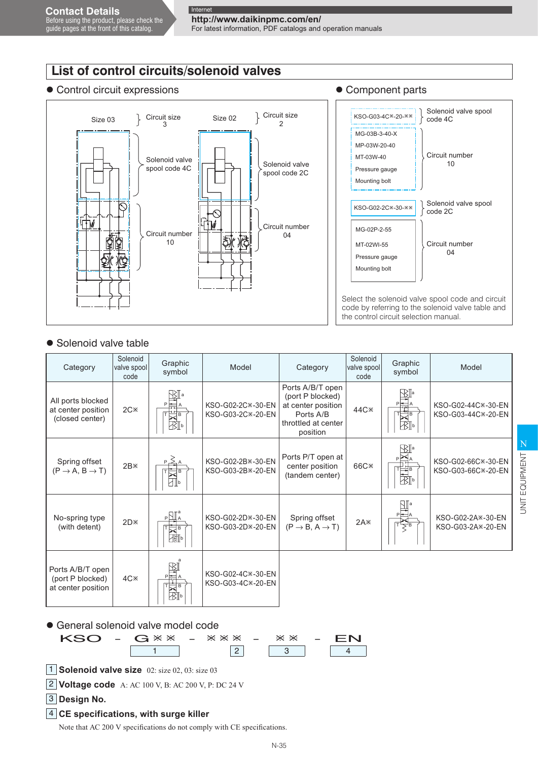# **List of control circuits/solenoid valves**

### ● Control circuit expressions 
■ Component parts



## ● Solenoid valve table

| Category                                                   | Solenoid<br>valve spool<br>code | Graphic<br>symbol        | Model                                       | Category                                                                                                   | Solenoid<br>valve spool<br>code | Graphic<br>symbol | Model                                      |  |
|------------------------------------------------------------|---------------------------------|--------------------------|---------------------------------------------|------------------------------------------------------------------------------------------------------------|---------------------------------|-------------------|--------------------------------------------|--|
| All ports blocked<br>at center position<br>(closed center) | $2C \times$                     | R∏ a<br>羽⊩               | KSO-G02-2C*-30-EN<br>KSO-G03-2C*-20-EN      | Ports A/B/T open<br>(port P blocked)<br>at center position<br>Ports A/B<br>throttled at center<br>position | 44C <sup>×</sup>                | √≿∥a<br>∦⊱        | KSO-G02-44C*-30-EN<br>KSO-G03-44C*-20-EN   |  |
| Spring offset<br>$(P \rightarrow A, B \rightarrow T)$      | $2B \times$                     |                          | KSO-G02-2B *- 30-EN<br>KSO-G03-2B × - 20-EN | Ports P/T open at<br>center position<br>(tandem center)                                                    | 66C <sup>×</sup>                | 刚                 | KSO-G02-66C *- 30-EN<br>KSO-G03-66C*-20-EN |  |
| No-spring type<br>(with detent)                            | $2D*$                           | $_{\rm P}\Xi$<br>⋥⋼<br>澗 | KSO-G02-2D × -30-EN<br>KSO-G03-2D*-20-EN    | Spring offset<br>$(P \rightarrow B, A \rightarrow T)$                                                      | $2A*$                           |                   | KSO-G02-2A*-30-EN<br>KSO-G03-2A*-20-EN     |  |
| Ports A/B/T open<br>(port P blocked)<br>at center position | 4C <sup>x</sup>                 | B<br>羽▷                  | KSO-G02-4C*-30-EN<br>KSO-G03-4C*-20-EN      |                                                                                                            |                                 |                   |                                            |  |

### General solenoid valve model code



4 **CE specifications, with surge killer** 

Note that AC 200 V specifications do not comply with CE specifications.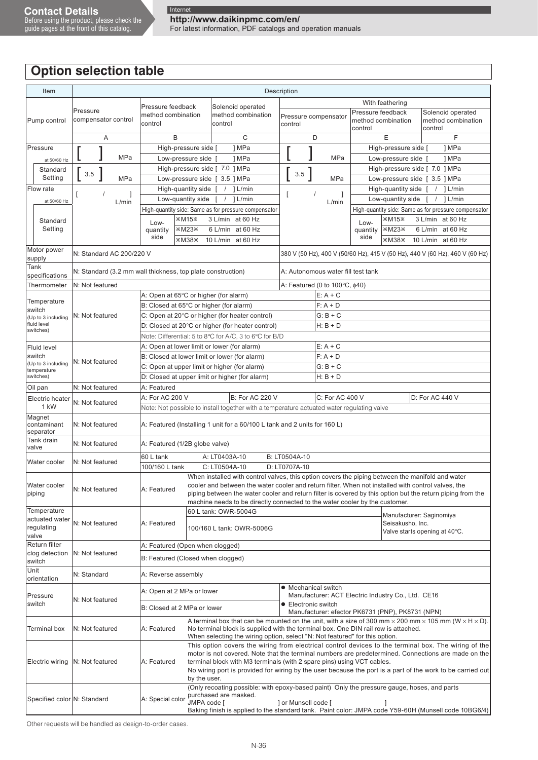guide pages at the front of this catalog.

For latest information, PDF catalogs and operation manuals

# **Option selection table**

| Item                                  |                                                             |                                                                                                    |              |                                                                                                                                                                                                                                                                                                                                                                                                                                                                                    |                                                                             |                                     | Description                     |          |                                               |                                    |                                                                                             |                                                                                                                                                                                                                                                                                                                      |  |  |
|---------------------------------------|-------------------------------------------------------------|----------------------------------------------------------------------------------------------------|--------------|------------------------------------------------------------------------------------------------------------------------------------------------------------------------------------------------------------------------------------------------------------------------------------------------------------------------------------------------------------------------------------------------------------------------------------------------------------------------------------|-----------------------------------------------------------------------------|-------------------------------------|---------------------------------|----------|-----------------------------------------------|------------------------------------|---------------------------------------------------------------------------------------------|----------------------------------------------------------------------------------------------------------------------------------------------------------------------------------------------------------------------------------------------------------------------------------------------------------------------|--|--|
|                                       |                                                             |                                                                                                    |              |                                                                                                                                                                                                                                                                                                                                                                                                                                                                                    |                                                                             |                                     |                                 |          |                                               |                                    | With feathering                                                                             |                                                                                                                                                                                                                                                                                                                      |  |  |
| Pump control                          | Pressure<br>compensator control                             | Pressure feedback<br>method combination<br>control                                                 |              | control                                                                                                                                                                                                                                                                                                                                                                                                                                                                            | Solenoid operated<br>method combination                                     |                                     | Pressure compensator<br>control |          |                                               | control                            | Pressure feedback<br>method combination                                                     | Solenoid operated<br>method combination<br>control                                                                                                                                                                                                                                                                   |  |  |
|                                       | Α                                                           | B<br>C                                                                                             |              |                                                                                                                                                                                                                                                                                                                                                                                                                                                                                    |                                                                             |                                     |                                 | D        |                                               |                                    | E                                                                                           | F                                                                                                                                                                                                                                                                                                                    |  |  |
| Pressure                              |                                                             | High-pressure side [                                                                               |              |                                                                                                                                                                                                                                                                                                                                                                                                                                                                                    | 1 MPa                                                                       |                                     |                                 |          |                                               |                                    | High-pressure side [                                                                        | 1 MPa                                                                                                                                                                                                                                                                                                                |  |  |
| at 50/60 Hz                           | MPa                                                         | Low-pressure side [                                                                                |              |                                                                                                                                                                                                                                                                                                                                                                                                                                                                                    | 1 MPa                                                                       | MPa<br>Low-pressure side [<br>1 MPa |                                 |          |                                               |                                    |                                                                                             |                                                                                                                                                                                                                                                                                                                      |  |  |
| Standard                              |                                                             | High-pressure side [ 7.0 ] MPa                                                                     |              |                                                                                                                                                                                                                                                                                                                                                                                                                                                                                    |                                                                             |                                     |                                 |          |                                               |                                    | High-pressure side [ 7.0 ] MPa                                                              |                                                                                                                                                                                                                                                                                                                      |  |  |
| Setting                               | $3.5\,$<br><b>MPa</b>                                       | Low-pressure side [ 3.5 ] MPa                                                                      |              |                                                                                                                                                                                                                                                                                                                                                                                                                                                                                    |                                                                             |                                     | 3.5                             |          | MPa                                           |                                    | Low-pressure side [ 3.5 ] MPa                                                               |                                                                                                                                                                                                                                                                                                                      |  |  |
| Flow rate                             | $\prime$<br>1<br>T                                          | High-quantity side [                                                                               |              |                                                                                                                                                                                                                                                                                                                                                                                                                                                                                    | $/$ 1 L/min                                                                 |                                     | t                               | $\prime$ | 1                                             |                                    | High-quantity side [                                                                        | $/$ ] L/min                                                                                                                                                                                                                                                                                                          |  |  |
| at 50/60 Hz                           | L/min                                                       | Low-quantity side [                                                                                |              |                                                                                                                                                                                                                                                                                                                                                                                                                                                                                    | $/$ 1 L/min                                                                 |                                     |                                 |          | L/min                                         |                                    |                                                                                             | Low-quantity side $\begin{bmatrix} 7 & 1 \end{bmatrix}$ L/min                                                                                                                                                                                                                                                        |  |  |
|                                       |                                                             | High-quantity side: Same as for pressure compensator                                               |              |                                                                                                                                                                                                                                                                                                                                                                                                                                                                                    |                                                                             |                                     |                                 |          |                                               |                                    |                                                                                             | High-quantity side: Same as for pressure compensator                                                                                                                                                                                                                                                                 |  |  |
| Standard                              |                                                             | Low-                                                                                               | ×M15×        |                                                                                                                                                                                                                                                                                                                                                                                                                                                                                    | 3 L/min at 60 Hz                                                            |                                     |                                 |          |                                               | Low-                               | $*M15*$                                                                                     | 3 L/min at 60 Hz                                                                                                                                                                                                                                                                                                     |  |  |
| Setting                               |                                                             | quantity<br>side                                                                                   | ×M23×        |                                                                                                                                                                                                                                                                                                                                                                                                                                                                                    | 6 L/min at 60 Hz                                                            |                                     |                                 |          |                                               | quantity<br>side                   | ×M23×                                                                                       | 6 L/min at 60 Hz                                                                                                                                                                                                                                                                                                     |  |  |
| Motor power                           |                                                             |                                                                                                    | *M38*        |                                                                                                                                                                                                                                                                                                                                                                                                                                                                                    | 10 L/min at 60 Hz                                                           |                                     |                                 |          |                                               |                                    |                                                                                             | *M38* 10 L/min at 60 Hz                                                                                                                                                                                                                                                                                              |  |  |
| supply                                | N: Standard AC 200/220 V                                    |                                                                                                    |              |                                                                                                                                                                                                                                                                                                                                                                                                                                                                                    |                                                                             |                                     |                                 |          |                                               |                                    |                                                                                             | 380 V (50 Hz), 400 V (50/60 Hz), 415 V (50 Hz), 440 V (60 Hz), 460 V (60 Hz)                                                                                                                                                                                                                                         |  |  |
| Tank<br>specifications                | N: Standard (3.2 mm wall thickness, top plate construction) |                                                                                                    |              |                                                                                                                                                                                                                                                                                                                                                                                                                                                                                    |                                                                             |                                     |                                 |          |                                               | A: Autonomous water fill test tank |                                                                                             |                                                                                                                                                                                                                                                                                                                      |  |  |
| Thermometer                           | N: Not featured                                             |                                                                                                    |              |                                                                                                                                                                                                                                                                                                                                                                                                                                                                                    |                                                                             |                                     |                                 |          | A: Featured (0 to 100 $\degree$ C, $\phi$ 40) |                                    |                                                                                             |                                                                                                                                                                                                                                                                                                                      |  |  |
| Temperature                           |                                                             | A: Open at 65°C or higher (for alarm)                                                              |              |                                                                                                                                                                                                                                                                                                                                                                                                                                                                                    |                                                                             |                                     |                                 |          | $E: A + C$                                    |                                    |                                                                                             |                                                                                                                                                                                                                                                                                                                      |  |  |
| switch                                |                                                             | B: Closed at 65°C or higher (for alarm)                                                            |              |                                                                                                                                                                                                                                                                                                                                                                                                                                                                                    |                                                                             |                                     |                                 |          | $F: A + D$                                    |                                    |                                                                                             |                                                                                                                                                                                                                                                                                                                      |  |  |
| (Up to 3 including<br>fluid level     | N: Not featured                                             | C: Open at 20°C or higher (for heater control)<br>D: Closed at 20°C or higher (for heater control) |              |                                                                                                                                                                                                                                                                                                                                                                                                                                                                                    |                                                                             |                                     |                                 |          | $G: B + C$<br>$H: B + D$                      |                                    |                                                                                             |                                                                                                                                                                                                                                                                                                                      |  |  |
| switches)                             |                                                             | Note: Differential: 5 to 8°C for A/C, 3 to 6°C for B/D                                             |              |                                                                                                                                                                                                                                                                                                                                                                                                                                                                                    |                                                                             |                                     |                                 |          |                                               |                                    |                                                                                             |                                                                                                                                                                                                                                                                                                                      |  |  |
| Fluid level                           |                                                             | A: Open at lower limit or lower (for alarm)                                                        |              |                                                                                                                                                                                                                                                                                                                                                                                                                                                                                    |                                                                             |                                     |                                 |          | $E: A + C$                                    |                                    |                                                                                             |                                                                                                                                                                                                                                                                                                                      |  |  |
| switch                                |                                                             | B: Closed at lower limit or lower (for alarm)                                                      |              |                                                                                                                                                                                                                                                                                                                                                                                                                                                                                    |                                                                             |                                     |                                 |          | $F: A + D$                                    |                                    |                                                                                             |                                                                                                                                                                                                                                                                                                                      |  |  |
| (Up to 3 including<br>temperature     | N: Not featured                                             | C: Open at upper limit or higher (for alarm)                                                       |              |                                                                                                                                                                                                                                                                                                                                                                                                                                                                                    |                                                                             |                                     |                                 |          | $G: B + C$                                    |                                    |                                                                                             |                                                                                                                                                                                                                                                                                                                      |  |  |
| switches)                             |                                                             | D: Closed at upper limit or higher (for alarm)                                                     |              |                                                                                                                                                                                                                                                                                                                                                                                                                                                                                    |                                                                             |                                     |                                 |          | $H: B + D$                                    |                                    |                                                                                             |                                                                                                                                                                                                                                                                                                                      |  |  |
| Oil pan                               | N: Not featured                                             | A: Featured                                                                                        |              |                                                                                                                                                                                                                                                                                                                                                                                                                                                                                    |                                                                             |                                     |                                 |          |                                               |                                    |                                                                                             |                                                                                                                                                                                                                                                                                                                      |  |  |
| Electric heater                       | N: Not featured                                             | A: For AC 200 V                                                                                    |              |                                                                                                                                                                                                                                                                                                                                                                                                                                                                                    | <b>B: For AC 220 V</b>                                                      |                                     |                                 |          | C: For AC 400 V                               |                                    |                                                                                             | D: For AC 440 V                                                                                                                                                                                                                                                                                                      |  |  |
| 1 kW                                  |                                                             | Note: Not possible to install together with a temperature actuated water regulating valve          |              |                                                                                                                                                                                                                                                                                                                                                                                                                                                                                    |                                                                             |                                     |                                 |          |                                               |                                    |                                                                                             |                                                                                                                                                                                                                                                                                                                      |  |  |
| Magnet<br>contaminant<br>separator    | N: Not featured                                             | A: Featured (Installing 1 unit for a 60/100 L tank and 2 units for 160 L)                          |              |                                                                                                                                                                                                                                                                                                                                                                                                                                                                                    |                                                                             |                                     |                                 |          |                                               |                                    |                                                                                             |                                                                                                                                                                                                                                                                                                                      |  |  |
| Tank drain<br>valve                   | N: Not featured                                             | A: Featured (1/2B globe valve)                                                                     |              |                                                                                                                                                                                                                                                                                                                                                                                                                                                                                    |                                                                             |                                     |                                 |          |                                               |                                    |                                                                                             |                                                                                                                                                                                                                                                                                                                      |  |  |
| Water cooler                          | N: Not featured                                             | 60 L tank                                                                                          |              | A: LT0403A-10                                                                                                                                                                                                                                                                                                                                                                                                                                                                      |                                                                             |                                     | B: LT0504A-10                   |          |                                               |                                    |                                                                                             |                                                                                                                                                                                                                                                                                                                      |  |  |
|                                       |                                                             | 100/160 L tank                                                                                     |              | C: LT0504A-10                                                                                                                                                                                                                                                                                                                                                                                                                                                                      |                                                                             |                                     | D: LT0707A-10                   |          |                                               |                                    |                                                                                             |                                                                                                                                                                                                                                                                                                                      |  |  |
| Water cooler<br>piping                | N: Not featured                                             | A: Featured                                                                                        |              |                                                                                                                                                                                                                                                                                                                                                                                                                                                                                    | machine needs to be directly connected to the water cooler by the customer. |                                     |                                 |          |                                               |                                    |                                                                                             | When installed with control valves, this option covers the piping between the manifold and water<br>cooler and between the water cooler and return filter. When not installed with control valves, the<br>piping between the water cooler and return filter is covered by this option but the return piping from the |  |  |
| Temperature                           |                                                             |                                                                                                    |              |                                                                                                                                                                                                                                                                                                                                                                                                                                                                                    | 60 L tank: OWR-5004G                                                        |                                     |                                 |          |                                               |                                    | Manufacturer: Saginomiya                                                                    |                                                                                                                                                                                                                                                                                                                      |  |  |
| actuated water<br>regulating<br>valve | N: Not featured                                             | A: Featured                                                                                        |              |                                                                                                                                                                                                                                                                                                                                                                                                                                                                                    | 100/160 L tank: OWR-5006G                                                   |                                     |                                 |          |                                               |                                    | Seisakusho, Inc.                                                                            | Valve starts opening at 40°C.                                                                                                                                                                                                                                                                                        |  |  |
| Return filter                         |                                                             | A: Featured (Open when clogged)                                                                    |              |                                                                                                                                                                                                                                                                                                                                                                                                                                                                                    |                                                                             |                                     |                                 |          |                                               |                                    |                                                                                             |                                                                                                                                                                                                                                                                                                                      |  |  |
| clog detection<br>switch              | N: Not featured                                             | B: Featured (Closed when clogged)                                                                  |              |                                                                                                                                                                                                                                                                                                                                                                                                                                                                                    |                                                                             |                                     |                                 |          |                                               |                                    |                                                                                             |                                                                                                                                                                                                                                                                                                                      |  |  |
| Unit<br>orientation                   | N: Standard                                                 | A: Reverse assembly                                                                                |              |                                                                                                                                                                                                                                                                                                                                                                                                                                                                                    |                                                                             |                                     |                                 |          |                                               |                                    |                                                                                             |                                                                                                                                                                                                                                                                                                                      |  |  |
| Pressure                              | N: Not featured                                             | A: Open at 2 MPa or lower                                                                          |              |                                                                                                                                                                                                                                                                                                                                                                                                                                                                                    |                                                                             |                                     | • Mechanical switch             |          |                                               |                                    | Manufacturer: ACT Electric Industry Co., Ltd. CE16                                          |                                                                                                                                                                                                                                                                                                                      |  |  |
| switch                                |                                                             | B: Closed at 2 MPa or lower                                                                        |              |                                                                                                                                                                                                                                                                                                                                                                                                                                                                                    |                                                                             |                                     | • Electronic switch             |          |                                               |                                    | Manufacturer: efector PK6731 (PNP), PK8731 (NPN)                                            |                                                                                                                                                                                                                                                                                                                      |  |  |
| Terminal box                          | N: Not featured                                             | A: Featured                                                                                        |              |                                                                                                                                                                                                                                                                                                                                                                                                                                                                                    |                                                                             |                                     |                                 |          |                                               |                                    | No terminal block is supplied with the terminal box. One DIN rail row is attached.          | A terminal box that can be mounted on the unit, with a size of 300 mm $\times$ 200 mm $\times$ 105 mm (W $\times$ H $\times$ D).                                                                                                                                                                                     |  |  |
| Electric wiring                       | N: Not featured                                             | A: Featured                                                                                        | by the user. | When selecting the wiring option, select "N: Not featured" for this option.<br>This option covers the wiring from electrical control devices to the terminal box. The wiring of the<br>motor is not covered. Note that the terminal numbers are predetermined. Connections are made on the<br>terminal block with M3 terminals (with 2 spare pins) using VCT cables.<br>No wiring port is provided for wiring by the user because the port is a part of the work to be carried out |                                                                             |                                     |                                 |          |                                               |                                    |                                                                                             |                                                                                                                                                                                                                                                                                                                      |  |  |
| Specified color N: Standard           |                                                             | A: Special color                                                                                   | JMPA code [  |                                                                                                                                                                                                                                                                                                                                                                                                                                                                                    | purchased are masked.                                                       |                                     | ] or Munsell code [             |          |                                               |                                    | (Only recoating possible: with epoxy-based paint) Only the pressure gauge, hoses, and parts | Baking finish is applied to the standard tank. Paint color: JMPA code Y59-60H (Munsell code 10BG6/4)                                                                                                                                                                                                                 |  |  |
|                                       |                                                             |                                                                                                    |              |                                                                                                                                                                                                                                                                                                                                                                                                                                                                                    |                                                                             |                                     |                                 |          |                                               |                                    |                                                                                             |                                                                                                                                                                                                                                                                                                                      |  |  |

Other requests will be handled as design-to-order cases.